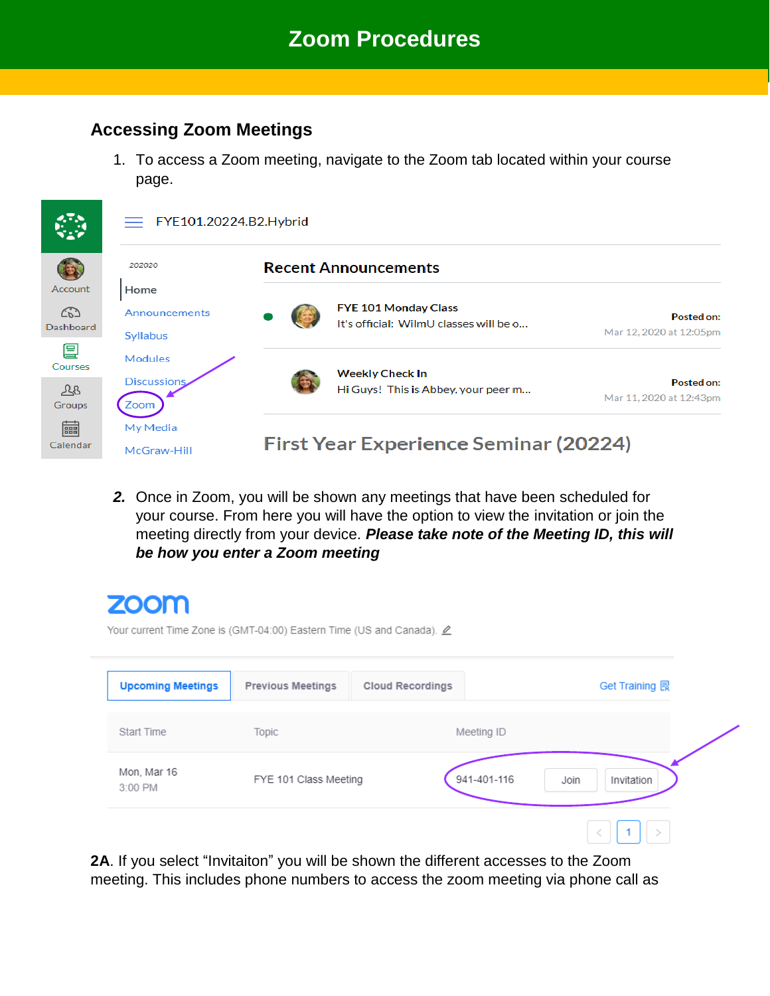#### **Accessing Zoom Meetings**

1. To access a Zoom meeting, navigate to the Zoom tab located within your course page.



*2.* Once in Zoom, you will be shown any meetings that have been scheduled for your course. From here you will have the option to view the invitation or join the meeting directly from your device. *Please take note of the Meeting ID, this will be how you enter a Zoom meeting*

# **ZOOM**

Your current Time Zone is (GMT-04:00) Eastern Time (US and Canada).  $\angle$ 

| <b>Upcoming Meetings</b> | <b>Previous Meetings</b> | <b>Cloud Recordings</b> | Get Training 良     |
|--------------------------|--------------------------|-------------------------|--------------------|
| Start Time               | Topic                    | Meeting ID              |                    |
| Mon, Mar 16<br>3:00 PM   | FYE 101 Class Meeting    | 941-401-116             | Join<br>Invitation |
|                          |                          |                         |                    |

**2A**. If you select "Invitaiton" you will be shown the different accesses to the Zoom meeting. This includes phone numbers to access the zoom meeting via phone call as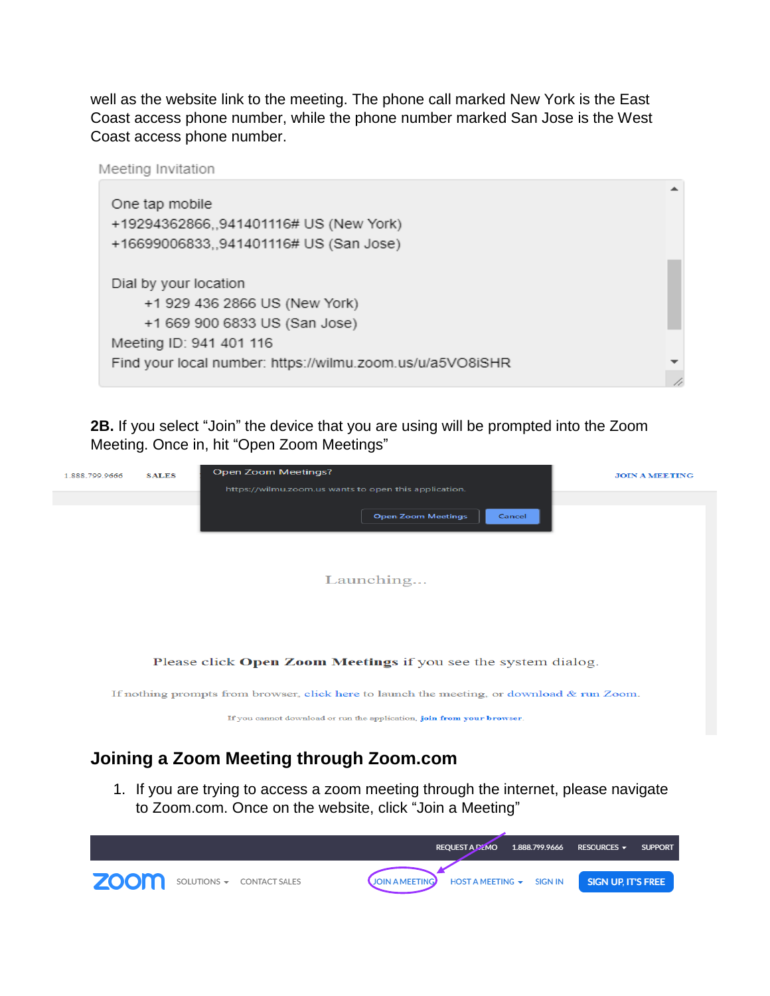well as the website link to the meeting. The phone call marked New York is the East Coast access phone number, while the phone number marked San Jose is the West Coast access phone number.



**2B.** If you select "Join" the device that you are using will be prompted into the Zoom Meeting. Once in, hit "Open Zoom Meetings"

| 1.888.799.9666                                                                                | <b>SALES</b> | Open Zoom Meetings?<br>https://wilmu.zoom.us wants to open this application. | <b>JOIN A MEETING</b> |  |  |  |  |
|-----------------------------------------------------------------------------------------------|--------------|------------------------------------------------------------------------------|-----------------------|--|--|--|--|
| <b>Open Zoom Meetings</b><br>Cancel<br>Launching                                              |              |                                                                              |                       |  |  |  |  |
| Please click Open Zoom Meetings if you see the system dialog.                                 |              |                                                                              |                       |  |  |  |  |
| If nothing prompts from browser, click here to launch the meeting, or download $\&$ run Zoom. |              |                                                                              |                       |  |  |  |  |
|                                                                                               |              | If you cannot download or run the application, join from your browser.       |                       |  |  |  |  |

## **Joining a Zoom Meeting through Zoom.com**

1. If you are trying to access a zoom meeting through the internet, please navigate to Zoom.com. Once on the website, click "Join a Meeting"

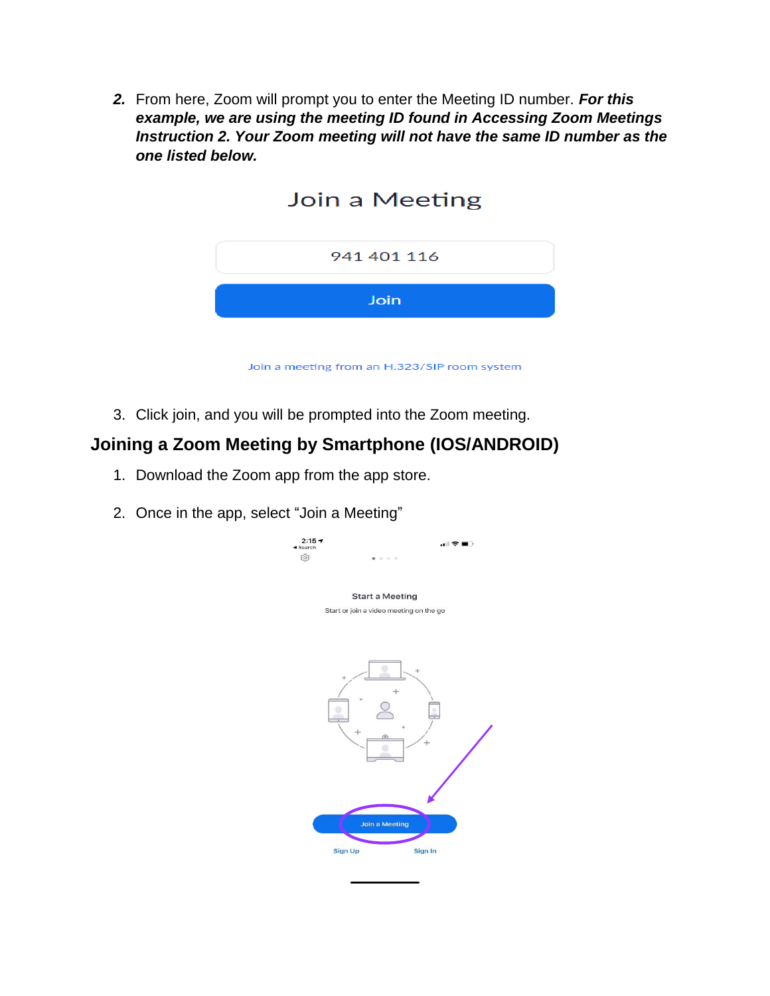*2.* From here, Zoom will prompt you to enter the Meeting ID number. *For this example, we are using the meeting ID found in Accessing Zoom Meetings Instruction 2. Your Zoom meeting will not have the same ID number as the one listed below.*



3. Click join, and you will be prompted into the Zoom meeting.

#### **Joining a Zoom Meeting by Smartphone (IOS/ANDROID)**

- 1. Download the Zoom app from the app store.
- 2. Once in the app, select "Join a Meeting"